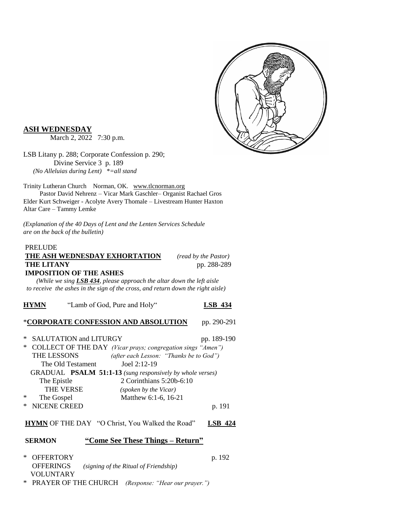

### **ASH WEDNESDAY**

March 2, 2022 7:30 p.m.

LSB Litany p. 288; Corporate Confession p. 290; Divine Service 3 p. 189  *(No Alleluias during Lent) \*=all stand*

Trinity Lutheran Church Norman, OK. [www.tlcnorman.org](http://www.tlcnorman.org/)

 Pastor David Nehrenz – Vicar Mark Gaschler– Organist Rachael Gros Elder Kurt Schweiger - Acolyte Avery Thomale – Livestream Hunter Haxton Altar Care – Tammy Lemke

*(Explanation of the 40 Days of Lent and the Lenten Services Schedule are on the back of the bulletin)*

## PRELUDE **THE ASH WEDNESDAY EXHORTATION** *(read by the Pastor)* **THE LITANY** pp. 288-289 **IMPOSITION OF THE ASHES**

 *(While we sing LSB 434, please approach the altar down the left aisle to receive the ashes in the sign of the cross, and return down the right aisle)*

# **HYMN** "Lamb of God, Pure and Holy" **LSB 434**

### \***CORPORATE CONFESSION AND ABSOLUTION** pp. 290-291

- \* SALUTATION and LITURGY pp. 189-190
- \* COLLECT OF THE DAY *(Vicar prays; congregation sings "Amen")* THE LESSONS *(after each Lesson: "Thanks be to God")* The Old Testament Joel 2:12-19 GRADUAL **PSALM 51:1-13** *(sung responsively by whole verses)* The Epistle 2 Corinthians 5:20b-6:10 THE VERSE *(spoken by the Vicar)* The Gospel Matthew  $6:1-6, 16-21$
- NICENE CREED p. 191

### **HYMN** OF THE DAY "O Christ, You Walked the Road" **LSB 424**

## **SERMON "Come See These Things – Return"**

| * OFFERTORY      |                                                       | p. 192 |
|------------------|-------------------------------------------------------|--------|
| <b>OFFERINGS</b> | (signing of the Ritual of Friendship)                 |        |
| <b>VOLUNTARY</b> |                                                       |        |
|                  | * PRAYER OF THE CHURCH (Response: "Hear our prayer.") |        |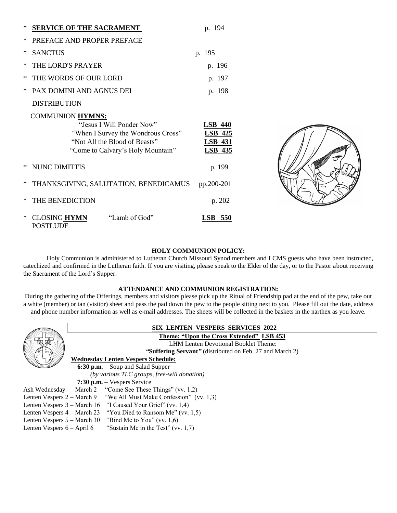| $\ast$ | <b>SERVICE OF THE SACRAMENT</b>                                                                                                                           | p. 194                                                               |  |
|--------|-----------------------------------------------------------------------------------------------------------------------------------------------------------|----------------------------------------------------------------------|--|
| $\ast$ | PREFACE AND PROPER PREFACE                                                                                                                                |                                                                      |  |
| $\ast$ | <b>SANCTUS</b>                                                                                                                                            | p. 195                                                               |  |
| ∗      | THE LORD'S PRAYER                                                                                                                                         | p. 196                                                               |  |
| $\ast$ | THE WORDS OF OUR LORD                                                                                                                                     | p. 197                                                               |  |
| $\ast$ | PAX DOMINI AND AGNUS DEI                                                                                                                                  | p. 198                                                               |  |
|        | <b>DISTRIBUTION</b>                                                                                                                                       |                                                                      |  |
|        | COMMUNION HYMNS:<br>"Jesus I Will Ponder Now"<br>"When I Survey the Wondrous Cross"<br>"Not All the Blood of Beasts"<br>"Come to Calvary's Holy Mountain" | <b>LSB 440</b><br><b>LSB 425</b><br><b>LSB 431</b><br><b>LSB 435</b> |  |
|        | * NUNC DIMITTIS                                                                                                                                           | p. 199                                                               |  |
|        | * THANKSGIVING, SALUTATION, BENEDICAMUS                                                                                                                   | pp.200-201                                                           |  |
| $\ast$ | THE BENEDICTION                                                                                                                                           | p. 202                                                               |  |
| ∗      | "Lamb of God"<br>CLOSING HYMN<br><b>POSTLUDE</b>                                                                                                          | <b>LSB</b> 550                                                       |  |

#### **HOLY COMMUNION POLICY:**

Holy Communion is administered to Lutheran Church Missouri Synod members and LCMS guests who have been instructed, catechized and confirmed in the Lutheran faith. If you are visiting, please speak to the Elder of the day, or to the Pastor about receiving the Sacrament of the Lord's Supper.

#### **ATTENDANCE AND COMMUNION REGISTRATION:**

During the gathering of the Offerings, members and visitors please pick up the Ritual of Friendship pad at the end of the pew, take out a white (member) or tan (visitor) sheet and pass the pad down the pew to the people sitting next to you. Please fill out the date, address and phone number information as well as e-mail addresses. The sheets will be collected in the baskets in the narthex as you leave.